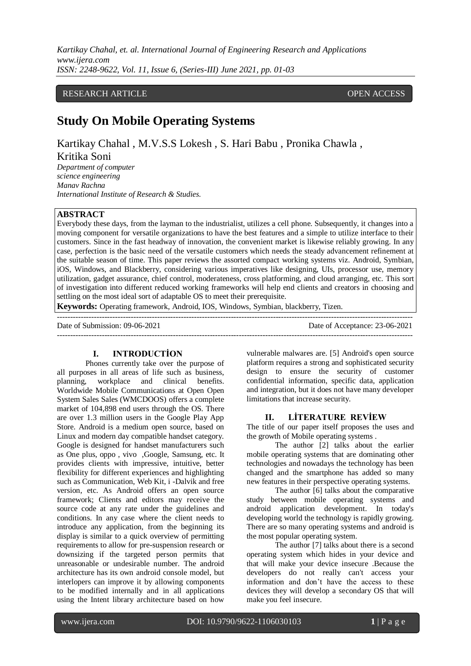## RESEARCH ARTICLE **CONSERVERS** OPEN ACCESS

# **Study On Mobile Operating Systems**

Kartikay Chahal , M.V.S.S Lokesh , S. Hari Babu , Pronika Chawla ,

Kritika Soni

*Department of computer science engineering Manav Rachna International Institute of Research & Studies.*

# **ABSTRACT**

Everybody these days, from the layman to the industrialist, utilizes a cell phone. Subsequently, it changes into a moving component for versatile organizations to have the best features and a simple to utilize interface to their customers. Since in the fast headway of innovation, the convenient market is likewise reliably growing. In any case, perfection is the basic need of the versatile customers which needs the steady advancement refinement at the suitable season of time. This paper reviews the assorted compact working systems viz. Android, Symbian, iOS, Windows, and Blackberry, considering various imperatives like designing, UIs, processor use, memory utilization, gadget assurance, chief control, moderateness, cross platforming, and cloud arranging, etc. This sort of investigation into different reduced working frameworks will help end clients and creators in choosing and settling on the most ideal sort of adaptable OS to meet their prerequisite.

**Keywords:** Operating framework, Android, IOS, Windows, Symbian, blackberry, Tizen.

| Date of Submission: 09-06-2021 | Date of Acceptance: 23-06-2021 |
|--------------------------------|--------------------------------|
|                                |                                |

## **I. INTRODUCTİON**

Phones currently take over the purpose of all purposes in all areas of life such as business, planning, workplace and clinical benefits. Worldwide Mobile Communications at Open Open System Sales Sales (WMCDOOS) offers a complete market of 104,898 end users through the OS. There are over 1.3 million users in the Google Play App Store. Android is a medium open source, based on Linux and modern day compatible handset category. Google is designed for handset manufacturers such as One plus, oppo , vivo ,Google, Samsung, etc. It provides clients with impressive, intuitive, better flexibility for different experiences and highlighting such as Communication, Web Kit, i -Dalvik and free version, etc. As Android offers an open source framework; Clients and editors may receive the source code at any rate under the guidelines and conditions. In any case where the client needs to introduce any application, from the beginning its display is similar to a quick overview of permitting requirements to allow for pre-suspension research or downsizing if the targeted person permits that unreasonable or undesirable number. The android architecture has its own android console model, but interlopers can improve it by allowing components to be modified internally and in all applications using the Intent library architecture based on how

vulnerable malwares are. [5] Android's open source platform requires a strong and sophisticated security design to ensure the security of customer confidential information, specific data, application and integration, but it does not have many developer limitations that increase security.

#### **II. LİTERATURE REVİEW**

The title of our paper itself proposes the uses and the growth of Mobile operating systems .

The author [2] talks about the earlier mobile operating systems that are dominating other technologies and nowadays the technology has been changed and the smartphone has added so many new features in their perspective operating systems.

The author [6] talks about the comparative study between mobile operating systems and android application development. In today's developing world the technology is rapidly growing. There are so many operating systems and android is the most popular operating system.

The author [7] talks about there is a second operating system which hides in your device and that will make your device insecure .Because the developers do not really can't access your information and don't have the access to these devices they will develop a secondary OS that will make you feel insecure.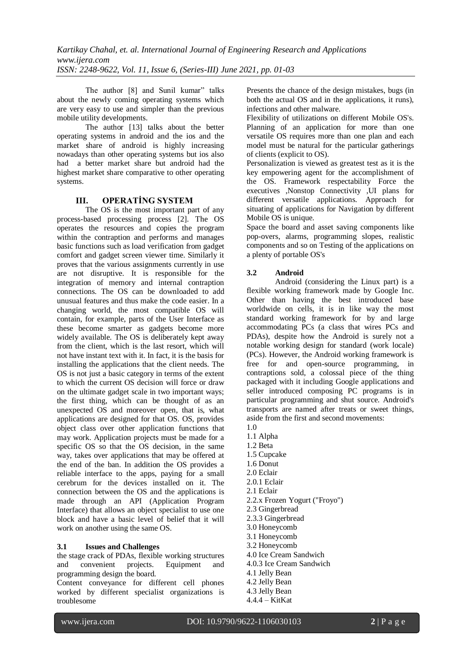The author [8] and Sunil kumar" talks about the newly coming operating systems which are very easy to use and simpler than the previous mobile utility developments.

The author [13] talks about the better operating systems in android and the ios and the market share of android is highly increasing nowadays than other operating systems but ios also had a better market share but android had the highest market share comparative to other operating systems.

## **III. OPERATİNG SYSTEM**

The OS is the most important part of any process-based processing process [2]. The OS operates the resources and copies the program within the contraption and performs and manages basic functions such as load verification from gadget comfort and gadget screen viewer time. Similarly it proves that the various assignments currently in use are not disruptive. It is responsible for the integration of memory and internal contraption connections. The OS can be downloaded to add unusual features and thus make the code easier. In a changing world, the most compatible OS will contain, for example, parts of the User Interface as these become smarter as gadgets become more widely available. The OS is deliberately kept away from the client, which is the last resort, which will not have instant text with it. In fact, it is the basis for installing the applications that the client needs. The OS is not just a basic category in terms of the extent to which the current OS decision will force or draw on the ultimate gadget scale in two important ways; the first thing, which can be thought of as an unexpected OS and moreover open, that is, what applications are designed for that OS. OS, provides object class over other application functions that may work. Application projects must be made for a specific OS so that the OS decision, in the same way, takes over applications that may be offered at the end of the ban. In addition the OS provides a reliable interface to the apps, paying for a small cerebrum for the devices installed on it. The connection between the OS and the applications is made through an API (Application Program Interface) that allows an object specialist to use one block and have a basic level of belief that it will work on another using the same OS.

# **3.1 Issues and Challenges**

the stage crack of PDAs, flexible working structures and convenient projects. Equipment and programming design the board.

Content conveyance for different cell phones worked by different specialist organizations is troublesome

Presents the chance of the design mistakes, bugs (in both the actual OS and in the applications, it runs), infections and other malware.

Flexibility of utilizations on different Mobile OS's. Planning of an application for more than one versatile OS requires more than one plan and each model must be natural for the particular gatherings of clients (explicit to OS).

Personalization is viewed as greatest test as it is the key empowering agent for the accomplishment of the OS. Framework respectability Force the executives ,Nonstop Connectivity ,UI plans for different versatile applications. Approach for situating of applications for Navigation by different Mobile OS is unique.

Space the board and asset saving components like pop-overs, alarms, programming slopes, realistic components and so on Testing of the applications on a plenty of portable OS's

# **3.2 Android**

Android (considering the Linux part) is a flexible working framework made by Google Inc. Other than having the best introduced base worldwide on cells, it is in like way the most standard working framework for by and large accommodating PCs (a class that wires PCs and PDAs), despite how the Android is surely not a notable working design for standard (work locale) (PCs). However, the Android working framework is free for and open-source programming, in contraptions sold, a colossal piece of the thing packaged with it including Google applications and seller introduced composing PC programs is in particular programming and shut source. Android's transports are named after treats or sweet things, aside from the first and second movements:

- 1.0
- 1.1 Alpha
- 1.2 Beta
- 1.5 Cupcake
- 1.6 Donut
- 2.0 Eclair 2.0.1 Eclair
- 2.1 Eclair
- 
- 2.2.x Frozen Yogurt ("Froyo")
- 2.3 Gingerbread
- 2.3.3 Gingerbread
- 3.0 Honeycomb
- 3.1 Honeycomb
- 3.2 Honeycomb
- 4.0 Ice Cream Sandwich
- 4.0.3 Ice Cream Sandwich
- 4.1 Jelly Bean
- 4.2 Jelly Bean
- 4.3 Jelly Bean
- 4.4.4 KitKat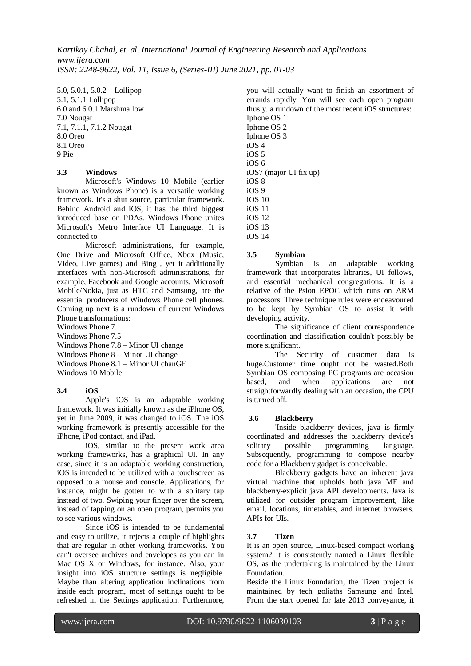5.0, 5.0.1, 5.0.2 – Lollipop 5.1, 5.1.1 Lollipop 6.0 and 6.0.1 Marshmallow 7.0 Nougat 7.1, 7.1.1, 7.1.2 Nougat 8.0 Oreo 8.1 Oreo 9 Pie

### **3.3 Windows**

Microsoft's Windows 10 Mobile (earlier known as Windows Phone) is a versatile working framework. It's a shut source, particular framework. Behind Android and iOS, it has the third biggest introduced base on PDAs. Windows Phone unites Microsoft's Metro Interface UI Language. It is connected to

Microsoft administrations, for example, One Drive and Microsoft Office, Xbox (Music, Video, Live games) and Bing , yet it additionally interfaces with non-Microsoft administrations, for example, Facebook and Google accounts. Microsoft Mobile/Nokia, just as HTC and Samsung, are the essential producers of Windows Phone cell phones. Coming up next is a rundown of current Windows Phone transformations:

Windows Phone 7.

Windows Phone 7.5

Windows Phone 7.8 – Minor UI change Windows Phone 8 – Minor UI change Windows Phone 8.1 – Minor UI chanGE Windows 10 Mobile

### **3.4 iOS**

Apple's iOS is an adaptable working framework. It was initially known as the iPhone OS, yet in June 2009, it was changed to iOS. The iOS working framework is presently accessible for the iPhone, iPod contact, and iPad.

iOS, similar to the present work area working frameworks, has a graphical UI. In any case, since it is an adaptable working construction, iOS is intended to be utilized with a touchscreen as opposed to a mouse and console. Applications, for instance, might be gotten to with a solitary tap instead of two. Swiping your finger over the screen, instead of tapping on an open program, permits you to see various windows.

Since iOS is intended to be fundamental and easy to utilize, it rejects a couple of highlights that are regular in other working frameworks. You can't oversee archives and envelopes as you can in Mac OS X or Windows, for instance. Also, your insight into iOS structure settings is negligible. Maybe than altering application inclinations from inside each program, most of settings ought to be refreshed in the Settings application. Furthermore, you will actually want to finish an assortment of errands rapidly. You will see each open program thusly. a rundown of the most recent iOS structures: Iphone OS 1 Iphone OS 2 Iphone OS 3  $iOS 4$ iOS 5 iOS 6 iOS7 (major UI fix up) iOS 8 iOS 9 iOS 10 iOS 11 iOS 12 iOS 13 iOS 14

### **3.5 Symbian**

Symbian is an adaptable working framework that incorporates libraries, UI follows, and essential mechanical congregations. It is a relative of the Psion EPOC which runs on ARM processors. Three technique rules were endeavoured to be kept by Symbian OS to assist it with developing activity.

The significance of client correspondence coordination and classification couldn't possibly be more significant.

The Security of customer data is huge.Customer time ought not be wasted.Both Symbian OS composing PC programs are occasion based, and when applications are not straightforwardly dealing with an occasion, the CPU is turned off.

### **3.6 Blackberry**

'Inside blackberry devices, java is firmly coordinated and addresses the blackberry device's solitary possible programming language. Subsequently, programming to compose nearby code for a Blackberry gadget is conceivable.

Blackberry gadgets have an inherent java virtual machine that upholds both java ME and blackberry-explicit java API developments. Java is utilized for outsider program improvement, like email, locations, timetables, and internet browsers. APIs for UIs.

### **3.7 Tizen**

It is an open source, Linux-based compact working system? It is consistently named a Linux flexible OS, as the undertaking is maintained by the Linux Foundation.

Beside the Linux Foundation, the Tizen project is maintained by tech goliaths Samsung and Intel. From the start opened for late 2013 conveyance, it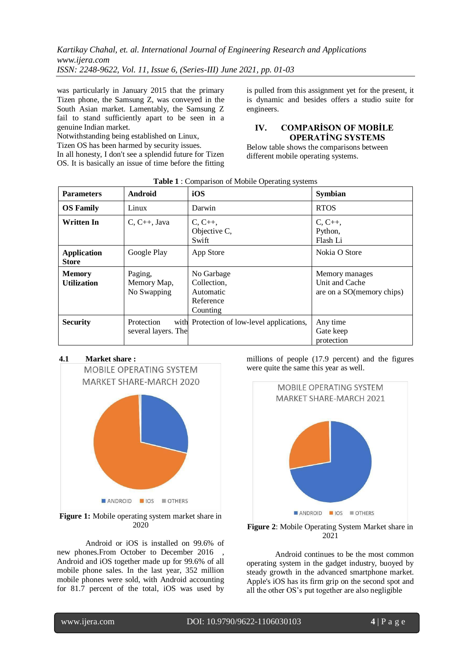was particularly in January 2015 that the primary Tizen phone, the Samsung Z, was conveyed in the South Asian market. Lamentably, the Samsung Z fail to stand sufficiently apart to be seen in a genuine Indian market.

Notwithstanding being established on Linux, Tizen OS has been harmed by security issues. In all honesty, I don't see a splendid future for Tizen OS. It is basically an issue of time before the fitting is pulled from this assignment yet for the present, it is dynamic and besides offers a studio suite for engineers.

# **IV. COMPARİSON OF MOBİLE OPERATİNG SYSTEMS**

Below table shows the comparisons between different mobile operating systems.

| <b>Parameters</b>                   | Android                               | iOS                                                             | <b>Symbian</b>                                                |
|-------------------------------------|---------------------------------------|-----------------------------------------------------------------|---------------------------------------------------------------|
| <b>OS Family</b>                    | Linux                                 | Darwin                                                          | <b>RTOS</b>                                                   |
| <b>Written In</b>                   | $C, C++, Java$                        | $C, C_{++}$<br>Objective C,<br>Swift                            | $C, C++,$<br>Python,<br>Flash Li                              |
| <b>Application</b><br><b>Store</b>  | Google Play                           | App Store                                                       | Nokia O Store                                                 |
| <b>Memory</b><br><b>Utilization</b> | Paging,<br>Memory Map,<br>No Swapping | No Garbage<br>Collection,<br>Automatic<br>Reference<br>Counting | Memory manages<br>Unit and Cache<br>are on a SO(memory chips) |
| <b>Security</b>                     | Protection<br>several layers. The     | with Protection of low-level applications,                      | Any time<br>Gate keep<br>protection                           |

#### **Table 1** : Comparison of Mobile Operating systems

# **4.1 Market share :**



**Figure 1:** Mobile operating system market share in 2020

Android or iOS is installed on 99.6% of new phones.From October to December 2016 Android and iOS together made up for 99.6% of all mobile phone sales. In the last year, 352 million mobile phones were sold, with Android accounting for 81.7 percent of the total, iOS was used by millions of people (17.9 percent) and the figures were quite the same this year as well.





Android continues to be the most common operating system in the gadget industry, buoyed by steady growth in the advanced smartphone market. Apple's iOS has its firm grip on the second spot and all the other OS's put together are also negligible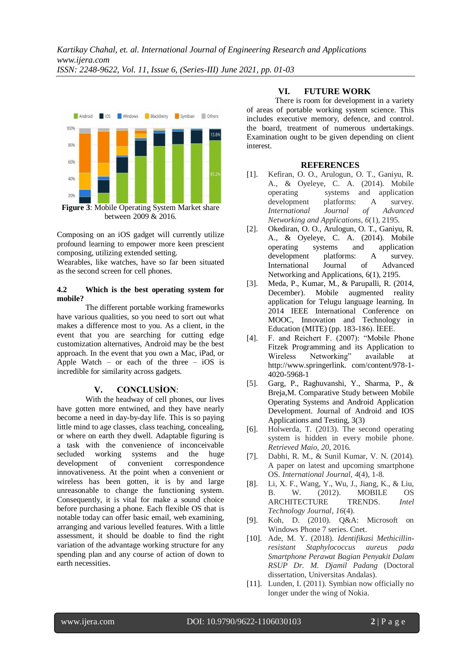

Composing on an iOS gadget will currently utilize profound learning to empower more keen prescient composing, utilizing extended setting.

Wearables, like watches, have so far been situated as the second screen for cell phones.

#### **4.2 Which is the best operating system for mobile?**

The different portable working frameworks have various qualities, so you need to sort out what makes a difference most to you. As a client, in the event that you are searching for cutting edge customization alternatives, Android may be the best approach. In the event that you own a Mac, iPad, or Apple Watch – or each of the three –  $iOS$  is incredible for similarity across gadgets.

### **V. CONCLUSİON**:

With the headway of cell phones, our lives have gotten more entwined, and they have nearly become a need in day-by-day life. This is so paying little mind to age classes, class teaching, concealing, or where on earth they dwell. Adaptable figuring is a task with the convenience of inconceivable secluded working systems and the huge development of convenient correspondence innovativeness. At the point when a convenient or wireless has been gotten, it is by and large unreasonable to change the functioning system. Consequently, it is vital for make a sound choice before purchasing a phone. Each flexible OS that is notable today can offer basic email, web examining, arranging and various levelled features. With a little assessment, it should be doable to find the right variation of the advantage working structure for any spending plan and any course of action of down to earth necessities.

## **VI. FUTURE WORK**

There is room for development in a variety of areas of portable working system science. This includes executive memory, defence, and control. the board, treatment of numerous undertakings. Examination ought to be given depending on client interest.

#### **REFERENCES**

- [1]. Kefiran, O. O., Arulogun, O. T., Ganiyu, R. A., & Oyeleye, C. A. (2014). Mobile operating systems and application development platforms: A survey. *International Journal of Advanced Networking and Applications*, *6*(1), 2195.
- [2]. Okediran, O. O., Arulogun, O. T., Ganiyu, R. A., & Oyeleye, C. A. (2014). Mobile operating systems and application development platforms: A survey. International Journal of Advanced Networking and Applications, 6(1), 2195.
- [3]. Meda, P., Kumar, M., & Parupalli, R. (2014, December). Mobile augmented reality application for Telugu language learning. In 2014 IEEE International Conference on MOOC, Innovation and Technology in Education (MITE) (pp. 183-186). İEEE.
- [4]. F. and Reichert F. (2007): "Mobile Phone Fitzek Programming and its Application to Wireless Networking" available at http://www.springerlink. com/content/978-1- 4020-5968-1
- [5]. Garg, P., Raghuvanshi, Y., Sharma, P., & Breja,M. Comparative Study between Mobile Operating Systems and Android Application Development. Journal of Android and IOS Applications and Testing, 3(3)
- [6]. Holwerda, T. (2013). The second operating system is hidden in every mobile phone. *Retrieved Maio*, *20*, 2016.
- [7]. Dabhi, R. M., & Sunil Kumar, V. N. (2014). A paper on latest and upcoming smartphone OS. *International Journal*, *4*(4), 1-8.
- [8]. Li, X. F., Wang, Y., Wu, J., Jiang, K., & Liu, B. W. (2012). MOBILE OS ARCHITECTURE TRENDS. *Intel Technology Journal*, *16*(4).
- [9]. Koh, D. (2010). Q&A: Microsoft on Windows Phone 7 series. Cnet.
- [10]. Ade, M. Y. (2018). *Identifikasi Methicillinresistant Staphylococcus aureus pada Smartphone Perawat Bagian Penyakit Dalam RSUP Dr. M. Djamil Padang* (Doctoral dissertation, Universitas Andalas).
- [11]. Lunden, I. (2011). Symbian now officially no longer under the wing of Nokia.